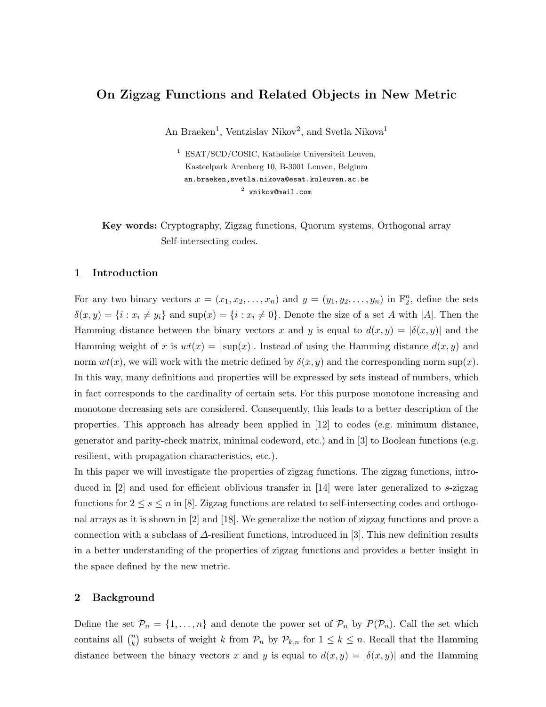# On Zigzag Functions and Related Objects in New Metric

An Braeken<sup>1</sup>, Ventzislav Nikov<sup>2</sup>, and Svetla Nikova<sup>1</sup>

<sup>1</sup> ESAT/SCD/COSIC, Katholieke Universiteit Leuven, Kasteelpark Arenberg 10, B-3001 Leuven, Belgium an.braeken,svetla.nikova@esat.kuleuven.ac.be  $^2$  vnikov@mail.com

Key words: Cryptography, Zigzag functions, Quorum systems, Orthogonal array Self-intersecting codes.

## 1 Introduction

For any two binary vectors  $x = (x_1, x_2, \ldots, x_n)$  and  $y = (y_1, y_2, \ldots, y_n)$  in  $\mathbb{F}_2^n$ , define the sets  $\delta(x, y) = \{i : x_i \neq y_i\}$  and  $\sup(x) = \{i : x_i \neq 0\}$ . Denote the size of a set A with |A|. Then the Hamming distance between the binary vectors x and y is equal to  $d(x, y) = |\delta(x, y)|$  and the Hamming weight of x is  $wt(x) = |\sup(x)|$ . Instead of using the Hamming distance  $d(x, y)$  and norm  $wt(x)$ , we will work with the metric defined by  $\delta(x, y)$  and the corresponding norm sup(x). In this way, many definitions and properties will be expressed by sets instead of numbers, which in fact corresponds to the cardinality of certain sets. For this purpose monotone increasing and monotone decreasing sets are considered. Consequently, this leads to a better description of the properties. This approach has already been applied in [12] to codes (e.g. minimum distance, generator and parity-check matrix, minimal codeword, etc.) and in [3] to Boolean functions (e.g. resilient, with propagation characteristics, etc.).

In this paper we will investigate the properties of zigzag functions. The zigzag functions, introduced in [2] and used for efficient oblivious transfer in [14] were later generalized to s-zigzag functions for  $2 \leq s \leq n$  in [8]. Zigzag functions are related to self-intersecting codes and orthogonal arrays as it is shown in [2] and [18]. We generalize the notion of zigzag functions and prove a connection with a subclass of ∆-resilient functions, introduced in [3]. This new definition results in a better understanding of the properties of zigzag functions and provides a better insight in the space defined by the new metric.

## 2 Background

Define the set  $\mathcal{P}_n = \{1, \ldots, n\}$  and denote the power set of  $\mathcal{P}_n$  by  $P(\mathcal{P}_n)$ . Call the set which contains all  $\binom{n}{k}$  $\binom{n}{k}$  subsets of weight k from  $\mathcal{P}_n$  by  $\mathcal{P}_{k,n}$  for  $1 \leq k \leq n$ . Recall that the Hamming distance between the binary vectors x and y is equal to  $d(x, y) = |\delta(x, y)|$  and the Hamming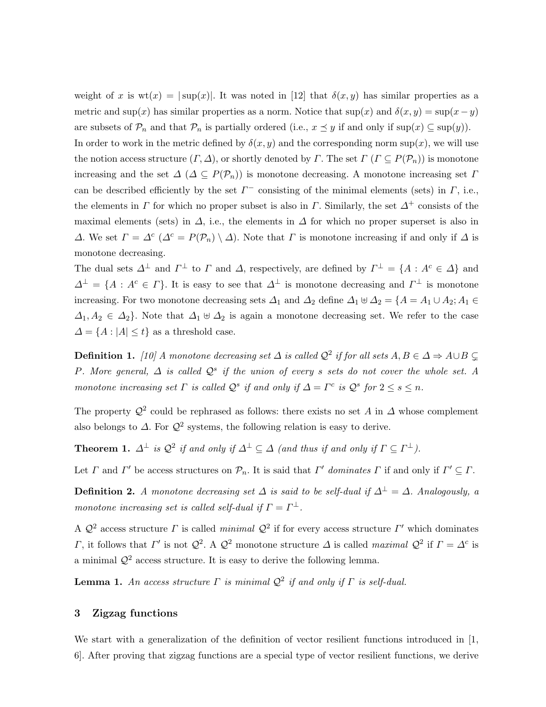weight of x is  $wt(x) = |sup(x)|$ . It was noted in [12] that  $\delta(x, y)$  has similar properties as a metric and sup(x) has similar properties as a norm. Notice that sup(x) and  $\delta(x, y) = \sup(x - y)$ are subsets of  $\mathcal{P}_n$  and that  $\mathcal{P}_n$  is partially ordered (i.e.,  $x \preceq y$  if and only if  $\sup(x) \subseteq \sup(y)$ ).

In order to work in the metric defined by  $\delta(x, y)$  and the corresponding norm sup(x), we will use the notion access structure  $(\Gamma, \Delta)$ , or shortly denoted by  $\Gamma$ . The set  $\Gamma$  ( $\Gamma \subseteq P(\mathcal{P}_n)$ ) is monotone increasing and the set  $\Delta (\Delta \subseteq P(\mathcal{P}_n))$  is monotone decreasing. A monotone increasing set  $\Gamma$ can be described efficiently by the set  $\Gamma^-$  consisting of the minimal elements (sets) in  $\Gamma$ , i.e., the elements in  $\Gamma$  for which no proper subset is also in  $\Gamma$ . Similarly, the set  $\Delta^+$  consists of the maximal elements (sets) in  $\Delta$ , i.e., the elements in  $\Delta$  for which no proper superset is also in  $\Delta$ . We set  $\Gamma = \Delta^c$  ( $\Delta^c = P(\mathcal{P}_n) \setminus \Delta$ ). Note that  $\Gamma$  is monotone increasing if and only if  $\Delta$  is monotone decreasing.

The dual sets  $\Delta^{\perp}$  and  $\Gamma^{\perp}$  to  $\Gamma$  and  $\Delta$ , respectively, are defined by  $\Gamma^{\perp} = \{A : A^c \in \Delta\}$  and  $\Delta^{\perp} = \{A : A^c \in \Gamma\}$ . It is easy to see that  $\Delta^{\perp}$  is monotone decreasing and  $\Gamma^{\perp}$  is monotone increasing. For two monotone decreasing sets  $\Delta_1$  and  $\Delta_2$  define  $\Delta_1 \uplus \Delta_2 = \{A = A_1 \cup A_2; A_1 \in A_1\}$  $\Delta_1, A_2 \in \Delta_2$ . Note that  $\Delta_1 \uplus \Delta_2$  is again a monotone decreasing set. We refer to the case  $\Delta = \{A : |A| \leq t\}$  as a threshold case.

**Definition 1.** [10] A monotone decreasing set  $\Delta$  is called  $\mathcal{Q}^2$  if for all sets  $A, B \in \Delta \Rightarrow A \cup B \subsetneq$ P. More general,  $\Delta$  is called  $\mathcal{Q}^s$  if the union of every s sets do not cover the whole set. A monotone increasing set  $\Gamma$  is called  $\mathcal{Q}^s$  if and only if  $\Delta = \Gamma^c$  is  $\mathcal{Q}^s$  for  $2 \leq s \leq n$ .

The property  $\mathcal{Q}^2$  could be rephrased as follows: there exists no set A in  $\Delta$  whose complement also belongs to  $\Delta$ . For  $\mathcal{Q}^2$  systems, the following relation is easy to derive.

**Theorem 1.**  $\Delta^{\perp}$  is  $\mathcal{Q}^{2}$  if and only if  $\Delta^{\perp} \subseteq \Delta$  (and thus if and only if  $\Gamma \subseteq \Gamma^{\perp}$ ).

Let  $\Gamma$  and  $\Gamma'$  be access structures on  $\mathcal{P}_n$ . It is said that  $\Gamma'$  dominates  $\Gamma$  if and only if  $\Gamma' \subseteq \Gamma$ .

**Definition 2.** A monotone decreasing set  $\Delta$  is said to be self-dual if  $\Delta^{\perp} = \Delta$ . Analogously, a monotone increasing set is called self-dual if  $\Gamma = \Gamma^{\perp}$ .

A  $\mathcal{Q}^2$  access structure  $\Gamma$  is called minimal  $\mathcal{Q}^2$  if for every access structure  $\Gamma'$  which dominates Γ, it follows that Γ' is not  $Q^2$ . A  $Q^2$  monotone structure  $\Delta$  is called maximal  $Q^2$  if  $\Gamma = \Delta^c$  is a minimal  $\mathcal{Q}^2$  access structure. It is easy to derive the following lemma.

**Lemma 1.** An access structure  $\Gamma$  is minimal  $\mathcal{Q}^2$  if and only if  $\Gamma$  is self-dual.

## 3 Zigzag functions

We start with a generalization of the definition of vector resilient functions introduced in [1, 6]. After proving that zigzag functions are a special type of vector resilient functions, we derive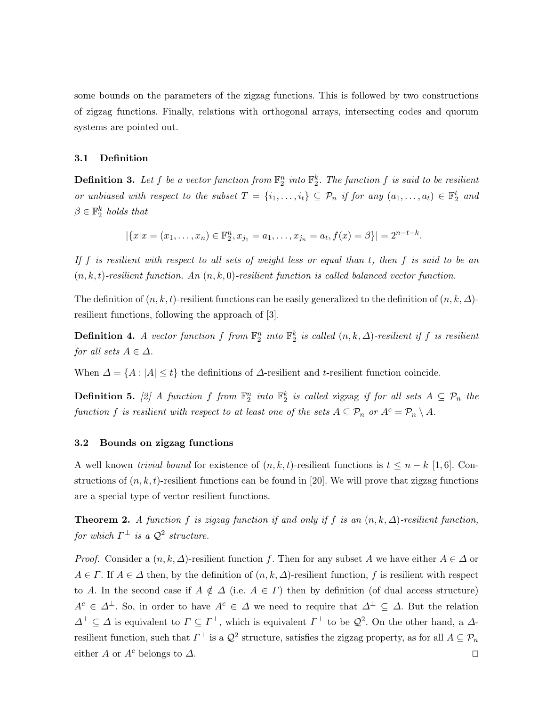some bounds on the parameters of the zigzag functions. This is followed by two constructions of zigzag functions. Finally, relations with orthogonal arrays, intersecting codes and quorum systems are pointed out.

## 3.1 Definition

**Definition 3.** Let f be a vector function from  $\mathbb{F}_2^n$  into  $\mathbb{F}_2^k$ . The function f is said to be resilient or unbiased with respect to the subset  $T = \{i_1, \ldots, i_t\} \subseteq P_n$  if for any  $(a_1, \ldots, a_t) \in \mathbb{F}_2^t$  and  $\beta \in \mathbb{F}_2^k$  holds that

 $|\{x|x=(x_1,\ldots,x_n)\in \mathbb{F}_2^n, x_{j_1}=a_1,\ldots,x_{j_n}=a_t, f(x)=\beta\}|=2^{n-t-k}.$ 

If  $f$  is resilient with respect to all sets of weight less or equal than  $t$ , then  $f$  is said to be an  $(n, k, t)$ -resilient function. An  $(n, k, 0)$ -resilient function is called balanced vector function.

The definition of  $(n, k, t)$ -resilient functions can be easily generalized to the definition of  $(n, k, \Delta)$ resilient functions, following the approach of [3].

**Definition 4.** A vector function f from  $\mathbb{F}_2^n$  into  $\mathbb{F}_2^k$  is called  $(n, k, \Delta)$ -resilient if f is resilient for all sets  $A \in \Delta$ .

When  $\Delta = \{A : |A| \le t\}$  the definitions of  $\Delta$ -resilient and t-resilient function coincide.

**Definition 5.** [2] A function f from  $\mathbb{F}_2^n$  into  $\mathbb{F}_2^k$  is called zigzag if for all sets  $A \subseteq \mathcal{P}_n$  the function f is resilient with respect to at least one of the sets  $A \subseteq \mathcal{P}_n$  or  $A^c = \mathcal{P}_n \setminus A$ .

## 3.2 Bounds on zigzag functions

A well known *trivial bound* for existence of  $(n, k, t)$ -resilient functions is  $t \leq n - k$  [1,6]. Constructions of  $(n, k, t)$ -resilient functions can be found in [20]. We will prove that zigzag functions are a special type of vector resilient functions.

**Theorem 2.** A function f is zigzag function if and only if f is an  $(n, k, \Delta)$ -resilient function, for which  $\Gamma^{\perp}$  is a  $\mathcal{Q}^{2}$  structure.

*Proof.* Consider a  $(n, k, \Delta)$ -resilient function f. Then for any subset A we have either  $A \in \Delta$  or  $A \in \Gamma$ . If  $A \in \Delta$  then, by the definition of  $(n, k, \Delta)$ -resilient function, f is resilient with respect to A. In the second case if  $A \notin \Delta$  (i.e.  $A \in \Gamma$ ) then by definition (of dual access structure)  $A^c \in \Delta^{\perp}$ . So, in order to have  $A^c \in \Delta$  we need to require that  $\Delta^{\perp} \subseteq \Delta$ . But the relation  $\Delta^{\perp} \subseteq \Delta$  is equivalent to  $\Gamma \subseteq \Gamma^{\perp}$ , which is equivalent  $\Gamma^{\perp}$  to be  $\mathcal{Q}^2$ . On the other hand, a  $\Delta$ resilient function, such that  $\Gamma^{\perp}$  is a  $\mathcal{Q}^2$  structure, satisfies the zigzag property, as for all  $A \subseteq \mathcal{P}_n$ either A or  $A^c$  belongs to  $\Delta$ .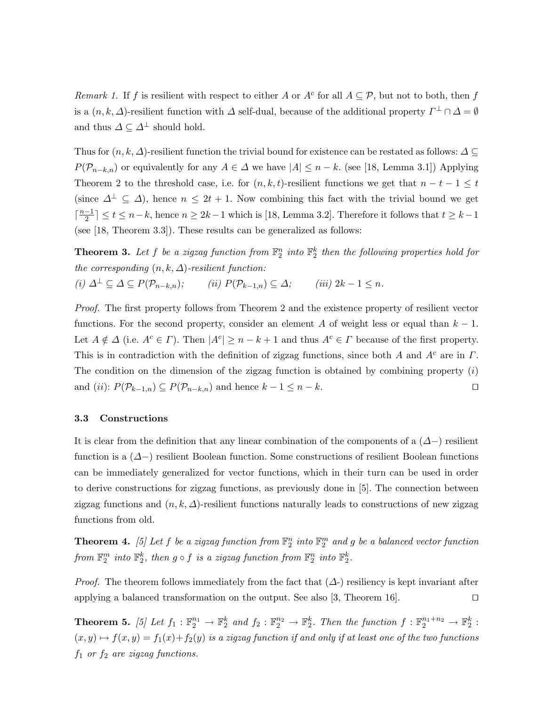Remark 1. If f is resilient with respect to either A or  $A^c$  for all  $A \subseteq \mathcal{P}$ , but not to both, then f is a  $(n, k, \Delta)$ -resilient function with  $\Delta$  self-dual, because of the additional property  $\Gamma^{\perp} \cap \Delta = \emptyset$ and thus  $\varDelta \subseteq \varDelta^\perp$  should hold.

Thus for  $(n, k, \Delta)$ -resilient function the trivial bound for existence can be restated as follows:  $\Delta \subseteq$  $P(\mathcal{P}_{n-k,n})$  or equivalently for any  $A \in \Delta$  we have  $|A| \leq n-k$ . (see [18, Lemma 3.1]) Applying Theorem 2 to the threshold case, i.e. for  $(n, k, t)$ -resilient functions we get that  $n - t - 1 \leq t$ (since  $\Delta^{\perp} \subseteq \Delta$ ), hence  $n \leq 2t + 1$ . Now combining this fact with the trivial bound we get  $\lceil \frac{n-1}{2} \rceil$  $\lfloor \frac{-1}{2} \rfloor \le t \le n-k$ , hence  $n \ge 2k-1$  which is [18, Lemma 3.2]. Therefore it follows that  $t \ge k-1$ (see [18, Theorem 3.3]). These results can be generalized as follows:

**Theorem 3.** Let f be a zigzag function from  $\mathbb{F}_2^n$  into  $\mathbb{F}_2^k$  then the following properties hold for the corresponding  $(n, k, \Delta)$ -resilient function: (i)  $\Delta^{\perp} \subseteq \Delta \subseteq P(\mathcal{P}_{n-k,n});$  (ii)  $P(\mathcal{P}_{k-1,n}) \subseteq \Delta;$  (iii)  $2k-1 \leq n$ .

Proof. The first property follows from Theorem 2 and the existence property of resilient vector functions. For the second property, consider an element A of weight less or equal than  $k - 1$ . Let  $A \notin \Delta$  (i.e.  $A^c \in \Gamma$ ). Then  $|A^c| \geq n - k + 1$  and thus  $A^c \in \Gamma$  because of the first property. This is in contradiction with the definition of zigzag functions, since both A and  $A<sup>c</sup>$  are in  $\Gamma$ . The condition on the dimension of the zigzag function is obtained by combining property  $(i)$ and (ii):  $P(\mathcal{P}_{k-1,n}) \subseteq P(\mathcal{P}_{n-k,n})$  and hence  $k-1 \leq n-k$ .

#### 3.3 Constructions

It is clear from the definition that any linear combination of the components of a  $(\Delta-)$  resilient function is a (∆−) resilient Boolean function. Some constructions of resilient Boolean functions can be immediately generalized for vector functions, which in their turn can be used in order to derive constructions for zigzag functions, as previously done in [5]. The connection between zigzag functions and  $(n, k, \Delta)$ -resilient functions naturally leads to constructions of new zigzag functions from old.

**Theorem 4.** [5] Let f be a zigzag function from  $\mathbb{F}_2^n$  into  $\mathbb{F}_2^m$  and g be a balanced vector function from  $\mathbb{F}_2^m$  into  $\mathbb{F}_2^k$ , then  $g \circ f$  is a zigzag function from  $\mathbb{F}_2^n$  into  $\mathbb{F}_2^k$ .

*Proof.* The theorem follows immediately from the fact that  $(\Delta)$  resiliency is kept invariant after applying a balanced transformation on the output. See also [3, Theorem 16].  $\Box$ 

**Theorem 5.** [5] Let  $f_1 : \mathbb{F}_2^{n_1} \to \mathbb{F}_2^k$  and  $f_2 : \mathbb{F}_2^{n_2} \to \mathbb{F}_2^k$ . Then the function  $f : \mathbb{F}_2^{n_1+n_2} \to \mathbb{F}_2^k$ :  $(x, y) \mapsto f(x, y) = f_1(x) + f_2(y)$  is a zigzag function if and only if at least one of the two functions  $f_1$  or  $f_2$  are zigzag functions.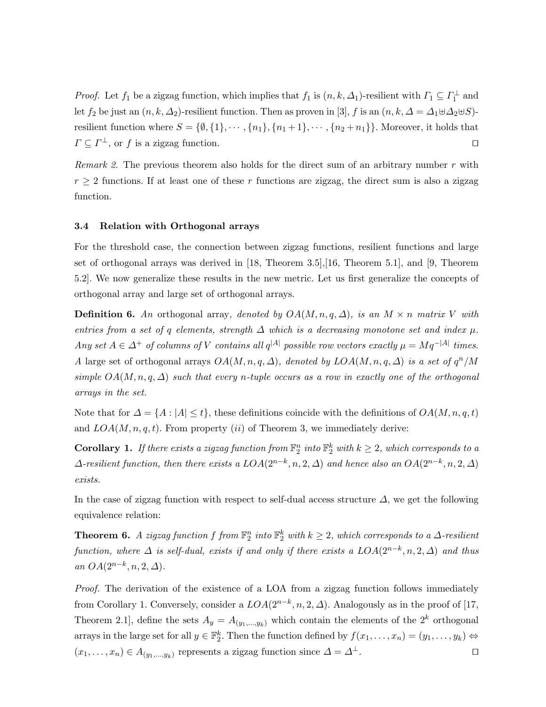*Proof.* Let  $f_1$  be a zigzag function, which implies that  $f_1$  is  $(n, k, \Delta_1)$ -resilient with  $\Gamma_1 \subseteq \Gamma_1^{\perp}$  and let  $f_2$  be just an  $(n, k, \Delta_2)$ -resilient function. Then as proven in [3], f is an  $(n, k, \Delta = \Delta_1 \boxplus \Delta_2 \boxplus S)$ resilient function where  $S = \{\emptyset, \{1\}, \cdots, \{n_1\}, \{n_1+1\}, \cdots, \{n_2+n_1\}\}\.$  Moreover, it holds that  $\Gamma \subseteq \Gamma^{\perp}$ , or f is a zigzag function.

Remark 2. The previous theorem also holds for the direct sum of an arbitrary number  $r$  with  $r \geq 2$  functions. If at least one of these r functions are zigzag, the direct sum is also a zigzag function.

## 3.4 Relation with Orthogonal arrays

For the threshold case, the connection between zigzag functions, resilient functions and large set of orthogonal arrays was derived in [18, Theorem 3.5],[16, Theorem 5.1], and [9, Theorem 5.2]. We now generalize these results in the new metric. Let us first generalize the concepts of orthogonal array and large set of orthogonal arrays.

**Definition 6.** An orthogonal array, denoted by  $OA(M, n, q, \Delta)$ , is an  $M \times n$  matrix V with entries from a set of q elements, strength  $\Delta$  which is a decreasing monotone set and index  $\mu$ . Any set  $A \in \Delta^+$  of columns of V contains all  $q^{|A|}$  possible row vectors exactly  $\mu = Mq^{-|A|}$  times. A large set of orthogonal arrays  $OA(M, n, q, \Delta)$ , denoted by  $LOA(M, n, q, \Delta)$  is a set of  $q^n/M$ simple  $OA(M, n, q, \Delta)$  such that every n-tuple occurs as a row in exactly one of the orthogonal arrays in the set.

Note that for  $\Delta = \{A : |A| \le t\}$ , these definitions coincide with the definitions of  $OA(M, n, q, t)$ and  $LOA(M, n, q, t)$ . From property (ii) of Theorem 3, we immediately derive:

**Corollary 1.** If there exists a zigzag function from  $\mathbb{F}_2^n$  into  $\mathbb{F}_2^k$  with  $k \geq 2$ , which corresponds to a  $\Delta$ -resilient function, then there exists a  $LOA(2^{n-k}, n, 2, \Delta)$  and hence also an  $OA(2^{n-k}, n, 2, \Delta)$ exists.

In the case of zigzag function with respect to self-dual access structure  $\Delta$ , we get the following equivalence relation:

**Theorem 6.** A zigzag function f from  $\mathbb{F}_2^n$  into  $\mathbb{F}_2^k$  with  $k \geq 2$ , which corresponds to a  $\Delta$ -resilient function, where  $\Delta$  is self-dual, exists if and only if there exists a  $LOA(2^{n-k}, n, 2, \Delta)$  and thus an  $OA(2^{n-k}, n, 2, \Delta)$ .

Proof. The derivation of the existence of a LOA from a zigzag function follows immediately from Corollary 1. Conversely, consider a  $LOA(2^{n-k}, n, 2, \Delta)$ . Analogously as in the proof of [17, Theorem 2.1], define the sets  $A_y = A_{(y_1,...,y_k)}$  which contain the elements of the  $2^k$  orthogonal arrays in the large set for all  $y \in \mathbb{F}_2^k$ . Then the function defined by  $f(x_1, \ldots, x_n) = (y_1, \ldots, y_k) \Leftrightarrow$  $(x_1, \ldots, x_n) \in A_{(y_1, \ldots, y_k)}$  represents a zigzag function since  $\Delta = \Delta^{\perp}$ .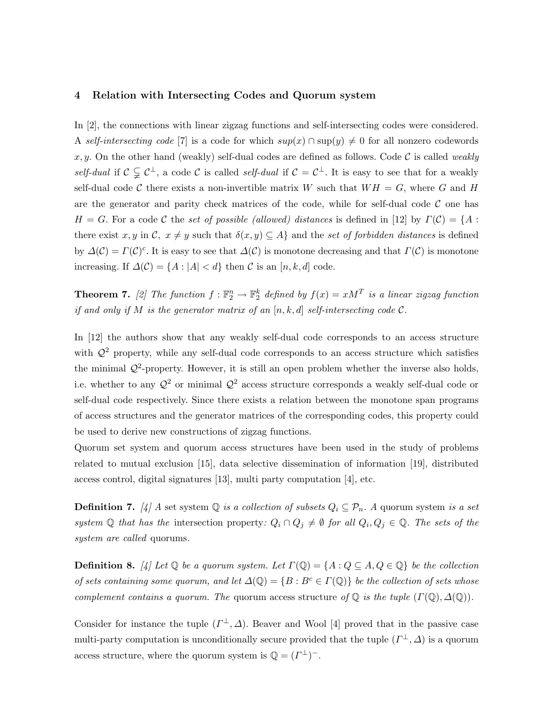#### 4 Relation with Intersecting Codes and Quorum system

In [2], the connections with linear zigzag functions and self-intersecting codes were considered. A self-intersecting code [7] is a code for which  $sup(x) \cap sup(y) \neq 0$  for all nonzero codewords x, y. On the other hand (weakly) self-dual codes are defined as follows. Code  $\mathcal C$  is called weakly self-dual if  $\mathcal{C} \subsetneq \mathcal{C}^{\perp}$ , a code C is called self-dual if  $\mathcal{C} = \mathcal{C}^{\perp}$ . It is easy to see that for a weakly self-dual code C there exists a non-invertible matrix W such that  $WH = G$ , where G and H are the generator and parity check matrices of the code, while for self-dual code  $\mathcal C$  one has  $H = G$ . For a code C the set of possible (allowed) distances is defined in [12] by  $\Gamma(\mathcal{C}) = \{A :$ there exist x, y in C,  $x \neq y$  such that  $\delta(x, y) \subseteq A$  and the set of forbidden distances is defined by  $\Delta(\mathcal{C}) = \Gamma(\mathcal{C})^c$ . It is easy to see that  $\Delta(\mathcal{C})$  is monotone decreasing and that  $\Gamma(\mathcal{C})$  is monotone increasing. If  $\Delta(C) = \{A : |A| < d\}$  then C is an  $[n, k, d]$  code.

**Theorem 7.** [2] The function  $f : \mathbb{F}_2^n \to \mathbb{F}_2^k$  defined by  $f(x) = xM^T$  is a linear zigzag function if and only if M is the generator matrix of an  $[n, k, d]$  self-intersecting code C.

In [12] the authors show that any weakly self-dual code corresponds to an access structure with  $\mathcal{Q}^2$  property, while any self-dual code corresponds to an access structure which satisfies the minimal  $\mathcal{Q}^2$ -property. However, it is still an open problem whether the inverse also holds, i.e. whether to any  $\mathcal{Q}^2$  or minimal  $\mathcal{Q}^2$  access structure corresponds a weakly self-dual code or self-dual code respectively. Since there exists a relation between the monotone span programs of access structures and the generator matrices of the corresponding codes, this property could be used to derive new constructions of zigzag functions.

Quorum set system and quorum access structures have been used in the study of problems related to mutual exclusion [15], data selective dissemination of information [19], distributed access control, digital signatures [13], multi party computation [4], etc.

**Definition 7.** [4] A set system  $\mathbb Q$  is a collection of subsets  $Q_i \subseteq \mathcal P_n$ . A quorum system is a set system  $\mathbb Q$  that has the intersection property:  $Q_i \cap Q_j \neq \emptyset$  for all  $Q_i, Q_j \in \mathbb Q$ . The sets of the system are called quorums.

**Definition 8.** [4] Let  $\mathbb Q$  be a quorum system. Let  $\Gamma(\mathbb Q) = \{A : Q \subseteq A, Q \in \mathbb Q\}$  be the collection of sets containing some quorum, and let  $\Delta(\mathbb{Q}) = \{B : B^c \in \Gamma(\mathbb{Q})\}$  be the collection of sets whose complement contains a quorum. The quorum access structure of  $\mathbb Q$  is the tuple  $(\Gamma(\mathbb Q), \Delta(\mathbb Q)).$ 

Consider for instance the tuple  $(\Gamma^{\perp}, \Delta)$ . Beaver and Wool [4] proved that in the passive case multi-party computation is unconditionally secure provided that the tuple  $(\Gamma^{\perp}, \Delta)$  is a quorum access structure, where the quorum system is  $\mathbb{Q} = (\Gamma^{\perp})^{-}$ .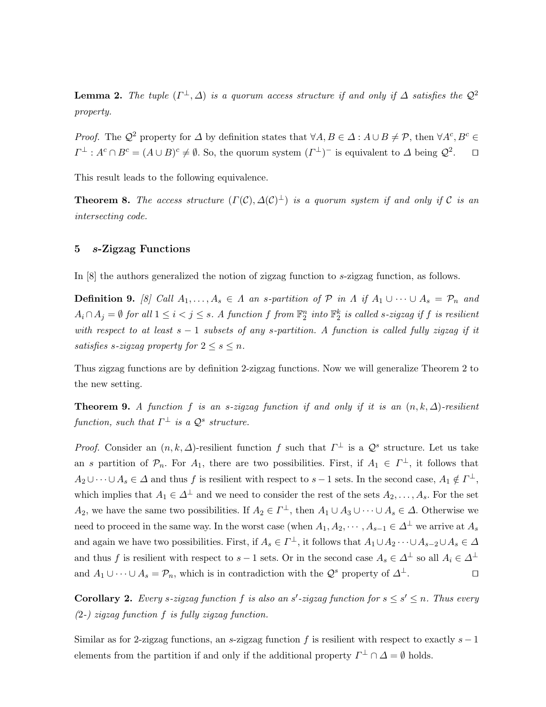**Lemma 2.** The tuple  $(\Gamma^{\perp}, \Delta)$  is a quorum access structure if and only if  $\Delta$  satisfies the  $\mathcal{Q}^2$ property.

*Proof.* The  $\mathcal{Q}^2$  property for  $\Delta$  by definition states that  $\forall A, B \in \Delta : A \cup B \neq \mathcal{P}$ , then  $\forall A^c, B^c \in \mathcal{P}$  $\Gamma^{\perp}: A^c \cap B^c = (A \cup B)^c \neq \emptyset$ . So, the quorum system  $(\Gamma^{\perp})^-$  is equivalent to  $\Delta$  being  $\mathcal{Q}^2$  $\Box$ 

This result leads to the following equivalence.

**Theorem 8.** The access structure  $(\Gamma(\mathcal{C}), \Delta(\mathcal{C})^{\perp})$  is a quorum system if and only if C is an intersecting code.

## 5 s-Zigzag Functions

In [8] the authors generalized the notion of zigzag function to s-zigzag function, as follows.

**Definition 9.** [8] Call  $A_1, \ldots, A_s \in \Lambda$  an s-partition of  $\mathcal{P}$  in  $\Lambda$  if  $A_1 \cup \cdots \cup A_s = \mathcal{P}_n$  and  $A_i \cap A_j = \emptyset$  for all  $1 \leq i < j \leq s$ . A function f from  $\mathbb{F}_2^n$  into  $\mathbb{F}_2^k$  is called s-zigzag if f is resilient with respect to at least  $s - 1$  subsets of any s-partition. A function is called fully zigzag if it satisfies s-zigzag property for  $2 \leq s \leq n$ .

Thus zigzag functions are by definition 2-zigzag functions. Now we will generalize Theorem 2 to the new setting.

**Theorem 9.** A function f is an s-zigzag function if and only if it is an  $(n, k, \Delta)$ -resilient function, such that  $\Gamma^{\perp}$  is a  $\mathcal{Q}^{s}$  structure.

*Proof.* Consider an  $(n, k, \Delta)$ -resilient function f such that  $\Gamma^{\perp}$  is a  $\mathcal{Q}^{s}$  structure. Let us take an s partition of  $\mathcal{P}_n$ . For  $A_1$ , there are two possibilities. First, if  $A_1 \in \Gamma^{\perp}$ , it follows that  $A_2 \cup \cdots \cup A_s \in \Delta$  and thus f is resilient with respect to  $s-1$  sets. In the second case,  $A_1 \notin \Gamma^{\perp}$ , which implies that  $A_1 \in \Delta^{\perp}$  and we need to consider the rest of the sets  $A_2, \ldots, A_s$ . For the set  $A_2$ , we have the same two possibilities. If  $A_2 \in \Gamma^{\perp}$ , then  $A_1 \cup A_3 \cup \cdots \cup A_s \in \Delta$ . Otherwise we need to proceed in the same way. In the worst case (when  $A_1, A_2, \cdots, A_{s-1} \in \Delta^{\perp}$  we arrive at  $A_s$ and again we have two possibilities. First, if  $A_s \in \Gamma^{\perp}$ , it follows that  $A_1 \cup A_2 \cdots \cup A_{s-2} \cup A_s \in \Delta$ and thus f is resilient with respect to s – 1 sets. Or in the second case  $A_s \in \Delta^{\perp}$  so all  $A_i \in \Delta^{\perp}$ and  $A_1 \cup \cdots \cup A_s = \mathcal{P}_n$ , which is in contradiction with the  $\mathcal{Q}^s$  property of  $\Delta^{\perp}$ .

**Corollary 2.** Every s-zigzag function f is also an s'-zigzag function for  $s \leq s' \leq n$ . Thus every (2-) zigzag function f is fully zigzag function.

Similar as for 2-zigzag functions, an s-zigzag function f is resilient with respect to exactly  $s - 1$ elements from the partition if and only if the additional property  $\Gamma^{\perp} \cap \Delta = \emptyset$  holds.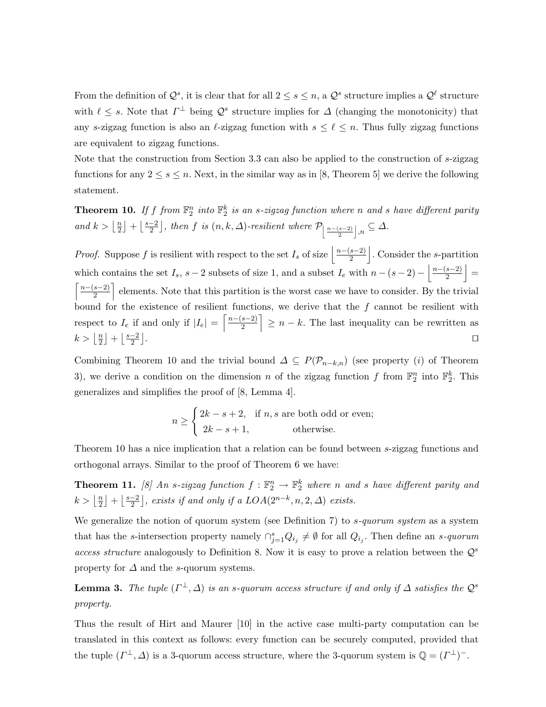From the definition of  $\mathcal{Q}^s$ , it is clear that for all  $2 \leq s \leq n$ , a  $\mathcal{Q}^s$  structure implies a  $\mathcal{Q}^{\ell}$  structure with  $\ell \leq s$ . Note that  $\Gamma^{\perp}$  being  $\mathcal{Q}^{s}$  structure implies for  $\Delta$  (changing the monotonicity) that any s-zigzag function is also an  $\ell$ -zigzag function with  $s \leq \ell \leq n$ . Thus fully zigzag functions are equivalent to zigzag functions.

Note that the construction from Section 3.3 can also be applied to the construction of s-zigzag functions for any  $2 \leq s \leq n$ . Next, in the similar way as in [8, Theorem 5] we derive the following statement.

**Theorem 10.** If f from  $\mathbb{F}_2^n$  into  $\mathbb{F}_2^k$  is an s-zigzag function where n and s have different parity and  $k > \left\lfloor \frac{n}{2} \right\rfloor$  $\frac{n}{2}$  +  $\frac{s-2}{2}$  $\frac{-2}{2}$ , then f is  $(n, k, \Delta)$ -resilient where  $\mathcal{P}_{\left|\frac{n-(s-2)}{2}\right|, n} \subseteq \Delta$ .

*Proof.* Suppose f is resilient with respect to the set  $I_s$  of size  $\frac{n-(s-2)}{2}$  $\left| \frac{s-2}{2} \right|$ . Consider the *s*-partition which contains the set  $I_s$ ,  $s-2$  subsets of size 1, and a subset  $I_e$  with  $n-(s-2)-\left\lfloor\frac{n-(s-2)}{2}\right\rfloor$  $\left| \frac{s-2}{2} \right| =$  $\lceil \frac{n-(s-2)}{n} \rceil$  $\left[\frac{s-2}{2}\right]$  elements. Note that this partition is the worst case we have to consider. By the trivial bound for the existence of resilient functions, we derive that the  $f$  cannot be resilient with respect to  $I_e$  if and only if  $|I_e| = \left\lceil \frac{n - (s-2)}{2} \right\rceil$  $\left[\frac{s-2}{2}\right] \geq n-k$ . The last inequality can be rewritten as  $k > \left\lfloor \frac{n}{2} \right\rfloor$  $\frac{n}{2}$  +  $\frac{s-2}{2}$  $\frac{-2}{2}$ . The contract of the contract of the contract of the contract of the contract of the contract of the contract of the contract of the contract of the contract of the contract of the contract of the contract of the contrac

Combining Theorem 10 and the trivial bound  $\Delta \subseteq P(\mathcal{P}_{n-k,n})$  (see property (i) of Theorem 3), we derive a condition on the dimension n of the zigzag function f from  $\mathbb{F}_2^n$  into  $\mathbb{F}_2^k$ . This generalizes and simplifies the proof of [8, Lemma 4].

$$
n \ge \begin{cases} 2k - s + 2, & \text{if } n, s \text{ are both odd or even;} \\ 2k - s + 1, & \text{otherwise.} \end{cases}
$$

Theorem 10 has a nice implication that a relation can be found between s-zigzag functions and orthogonal arrays. Similar to the proof of Theorem 6 we have:

**Theorem 11.** [8] An s-zigzag function  $f : \mathbb{F}_2^n \to \mathbb{F}_2^k$  where n and s have different parity and  $k > \left\lfloor \frac{n}{2} \right\rfloor$  $\frac{n}{2}$  +  $\frac{s-2}{2}$  $\left[\frac{-2}{2}\right]$ , exists if and only if a  $LOA(2^{n-k}, n, 2, \Delta)$  exists.

We generalize the notion of quorum system (see Definition 7) to  $s$ -quorum system as a system that has the s-intersection property namely  $\bigcap_{j=1}^s Q_{i_j} \neq \emptyset$  for all  $Q_{i_j}$ . Then define an s-quorum access structure analogously to Definition 8. Now it is easy to prove a relation between the  $\mathcal{Q}^s$ property for  $\Delta$  and the s-quorum systems.

**Lemma 3.** The tuple  $(\Gamma^{\perp}, \Delta)$  is an s-quorum access structure if and only if  $\Delta$  satisfies the  $\mathcal{Q}^s$ property.

Thus the result of Hirt and Maurer [10] in the active case multi-party computation can be translated in this context as follows: every function can be securely computed, provided that the tuple  $(\Gamma^{\perp}, \Delta)$  is a 3-quorum access structure, where the 3-quorum system is  $\mathbb{Q} = (\Gamma^{\perp})^{-}$ .